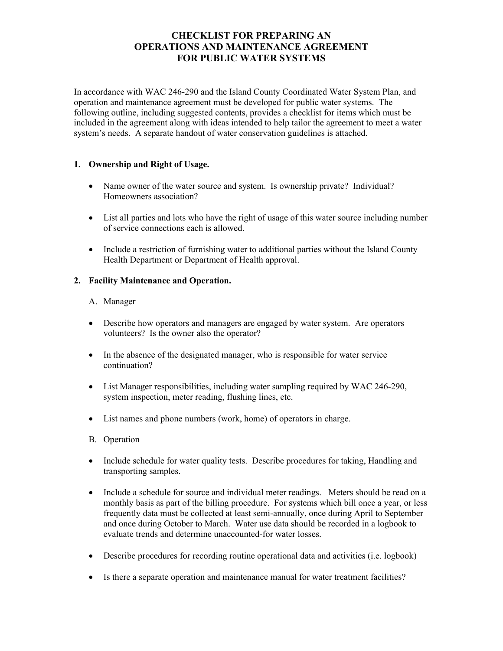# **CHECKLIST FOR PREPARING AN OPERATIONS AND MAINTENANCE AGREEMENT FOR PUBLIC WATER SYSTEMS**

In accordance with WAC 246-290 and the Island County Coordinated Water System Plan, and operation and maintenance agreement must be developed for public water systems. The following outline, including suggested contents, provides a checklist for items which must be included in the agreement along with ideas intended to help tailor the agreement to meet a water system's needs. A separate handout of water conservation guidelines is attached.

## **1. Ownership and Right of Usage.**

- Name owner of the water source and system. Is ownership private? Individual? Homeowners association?
- List all parties and lots who have the right of usage of this water source including number of service connections each is allowed.
- Include a restriction of furnishing water to additional parties without the Island County Health Department or Department of Health approval.

## **2. Facility Maintenance and Operation.**

#### A. Manager

- Describe how operators and managers are engaged by water system. Are operators volunteers? Is the owner also the operator?
- In the absence of the designated manager, who is responsible for water service continuation?
- List Manager responsibilities, including water sampling required by WAC 246-290, system inspection, meter reading, flushing lines, etc.
- List names and phone numbers (work, home) of operators in charge.
- B. Operation
- Include schedule for water quality tests. Describe procedures for taking, Handling and transporting samples.
- Include a schedule for source and individual meter readings. Meters should be read on a monthly basis as part of the billing procedure. For systems which bill once a year, or less frequently data must be collected at least semi-annually, once during April to September and once during October to March. Water use data should be recorded in a logbook to evaluate trends and determine unaccounted-for water losses.
- Describe procedures for recording routine operational data and activities (i.e. logbook)
- Is there a separate operation and maintenance manual for water treatment facilities?